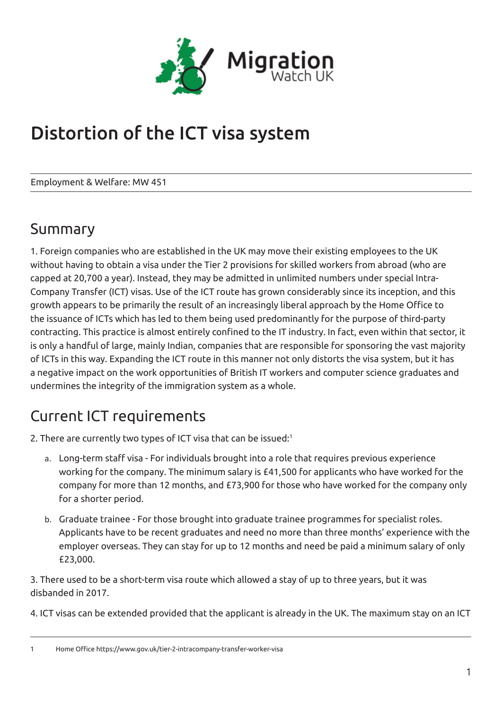

# Distortion of the ICT visa system

Employment & Welfare: MW 451

### Summary

1. Foreign companies who are established in the UK may move their existing employees to the UK without having to obtain a visa under the Tier 2 provisions for skilled workers from abroad (who are capped at 20,700 a year). Instead, they may be admitted in unlimited numbers under special Intra-Company Transfer (ICT) visas. Use of the ICT route has grown considerably since its inception, and this growth appears to be primarily the result of an increasingly liberal approach by the Home Office to the issuance of ICTs which has led to them being used predominantly for the purpose of third-party contracting. This practice is almost entirely confined to the IT industry. In fact, even within that sector, it is only a handful of large, mainly Indian, companies that are responsible for sponsoring the vast majority of ICTs in this way. Expanding the ICT route in this manner not only distorts the visa system, but it has a negative impact on the work opportunities of British IT workers and computer science graduates and undermines the integrity of the immigration system as a whole.

# Current ICT requirements

2. There are currently two types of ICT visa that can be issued:<sup>1</sup>

- a. Long-term staff visa For individuals brought into a role that requires previous experience working for the company. The minimum salary is £41,500 for applicants who have worked for the company for more than 12 months, and £73,900 for those who have worked for the company only for a shorter period.
- b. Graduate trainee For those brought into graduate trainee programmes for specialist roles. Applicants have to be recent graduates and need no more than three months' experience with the employer overseas. They can stay for up to 12 months and need be paid a minimum salary of only £23,000.

3. There used to be a short-term visa route which allowed a stay of up to three years, but it was disbanded in 2017.

4. ICT visas can be extended provided that the applicant is already in the UK. The maximum stay on an ICT

1 Home Office https://www.gov.uk/tier-2-intracompany-transfer-worker-visa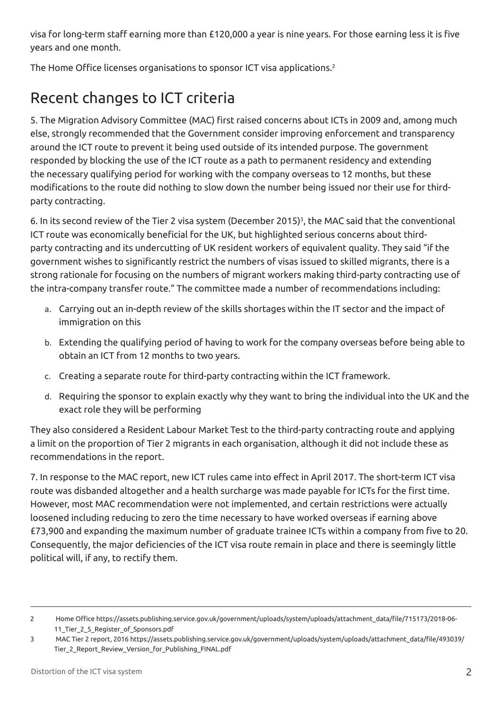visa for long-term staff earning more than £120,000 a year is nine years. For those earning less it is five years and one month.

The Home Office licenses organisations to sponsor ICT visa applications.<sup>2</sup>

# Recent changes to ICT criteria

5. The Migration Advisory Committee (MAC) first raised concerns about ICTs in 2009 and, among much else, strongly recommended that the Government consider improving enforcement and transparency around the ICT route to prevent it being used outside of its intended purpose. The government responded by blocking the use of the ICT route as a path to permanent residency and extending the necessary qualifying period for working with the company overseas to 12 months, but these modifications to the route did nothing to slow down the number being issued nor their use for thirdparty contracting.

6. In its second review of the Tier 2 visa system (December 2015)<sup>3</sup>, the MAC said that the conventional ICT route was economically beneficial for the UK, but highlighted serious concerns about thirdparty contracting and its undercutting of UK resident workers of equivalent quality. They said "if the government wishes to significantly restrict the numbers of visas issued to skilled migrants, there is a strong rationale for focusing on the numbers of migrant workers making third-party contracting use of the intra-company transfer route." The committee made a number of recommendations including:

- a. Carrying out an in-depth review of the skills shortages within the IT sector and the impact of immigration on this
- b. Extending the qualifying period of having to work for the company overseas before being able to obtain an ICT from 12 months to two years.
- c. Creating a separate route for third-party contracting within the ICT framework.
- d. Requiring the sponsor to explain exactly why they want to bring the individual into the UK and the exact role they will be performing

They also considered a Resident Labour Market Test to the third-party contracting route and applying a limit on the proportion of Tier 2 migrants in each organisation, although it did not include these as recommendations in the report.

7. In response to the MAC report, new ICT rules came into effect in April 2017. The short-term ICT visa route was disbanded altogether and a health surcharge was made payable for ICTs for the first time. However, most MAC recommendation were not implemented, and certain restrictions were actually loosened including reducing to zero the time necessary to have worked overseas if earning above £73,900 and expanding the maximum number of graduate trainee ICTs within a company from five to 20. Consequently, the major deficiencies of the ICT visa route remain in place and there is seemingly little political will, if any, to rectify them.

<sup>2</sup> Home Office https://assets.publishing.service.gov.uk/government/uploads/system/uploads/attachment\_data/file/715173/2018-06- 11\_Tier\_2\_5\_Register\_of\_Sponsors.pdf

<sup>3</sup> MAC Tier 2 report, 2016 https://assets.publishing.service.gov.uk/government/uploads/system/uploads/attachment\_data/file/493039/ Tier\_2\_Report\_Review\_Version\_for\_Publishing\_FINAL.pdf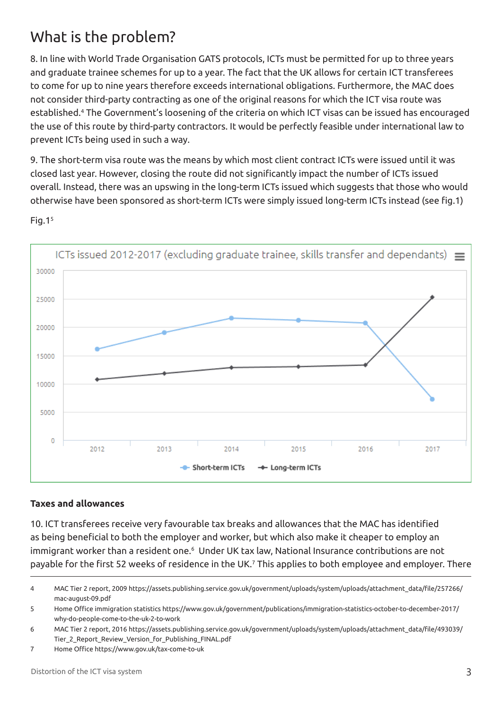# What is the problem?

8. In line with World Trade Organisation GATS protocols, ICTs must be permitted for up to three years and graduate trainee schemes for up to a year. The fact that the UK allows for certain ICT transferees to come for up to nine years therefore exceeds international obligations. Furthermore, the MAC does not consider third-party contracting as one of the original reasons for which the ICT visa route was established.4 The Government's loosening of the criteria on which ICT visas can be issued has encouraged the use of this route by third-party contractors. It would be perfectly feasible under international law to prevent ICTs being used in such a way.

9. The short-term visa route was the means by which most client contract ICTs were issued until it was closed last year. However, closing the route did not significantly impact the number of ICTs issued overall. Instead, there was an upswing in the long-term ICTs issued which suggests that those who would otherwise have been sponsored as short-term ICTs were simply issued long-term ICTs instead (see fig.1)



Fig. $1<sup>5</sup>$ 

#### **Taxes and allowances**

10. ICT transferees receive very favourable tax breaks and allowances that the MAC has identified as being beneficial to both the employer and worker, but which also make it cheaper to employ an immigrant worker than a resident one.6 Under UK tax law, National Insurance contributions are not payable for the first 52 weeks of residence in the UK.<sup>7</sup> This applies to both employee and employer. There

7 Home Office https://www.gov.uk/tax-come-to-uk

<sup>4</sup> MAC Tier 2 report, 2009 https://assets.publishing.service.gov.uk/government/uploads/system/uploads/attachment\_data/file/257266/ mac-august-09.pdf

<sup>5</sup> Home Office immigration statistics https://www.gov.uk/government/publications/immigration-statistics-october-to-december-2017/ why-do-people-come-to-the-uk-2-to-work

<sup>6</sup> MAC Tier 2 report, 2016 https://assets.publishing.service.gov.uk/government/uploads/system/uploads/attachment\_data/file/493039/ Tier\_2\_Report\_Review\_Version\_for\_Publishing\_FINAL.pdf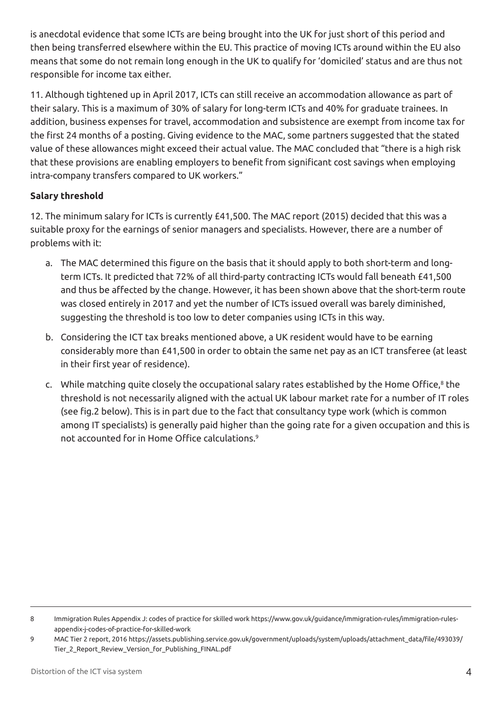is anecdotal evidence that some ICTs are being brought into the UK for just short of this period and then being transferred elsewhere within the EU. This practice of moving ICTs around within the EU also means that some do not remain long enough in the UK to qualify for 'domiciled' status and are thus not responsible for income tax either.

11. Although tightened up in April 2017, ICTs can still receive an accommodation allowance as part of their salary. This is a maximum of 30% of salary for long-term ICTs and 40% for graduate trainees. In addition, business expenses for travel, accommodation and subsistence are exempt from income tax for the first 24 months of a posting. Giving evidence to the MAC, some partners suggested that the stated value of these allowances might exceed their actual value. The MAC concluded that "there is a high risk that these provisions are enabling employers to benefit from significant cost savings when employing intra-company transfers compared to UK workers."

#### **Salary threshold**

12. The minimum salary for ICTs is currently £41,500. The MAC report (2015) decided that this was a suitable proxy for the earnings of senior managers and specialists. However, there are a number of problems with it:

- a. The MAC determined this figure on the basis that it should apply to both short-term and longterm ICTs. It predicted that 72% of all third-party contracting ICTs would fall beneath £41,500 and thus be affected by the change. However, it has been shown above that the short-term route was closed entirely in 2017 and yet the number of ICTs issued overall was barely diminished, suggesting the threshold is too low to deter companies using ICTs in this way.
- b. Considering the ICT tax breaks mentioned above, a UK resident would have to be earning considerably more than £41,500 in order to obtain the same net pay as an ICT transferee (at least in their first year of residence).
- c. While matching quite closely the occupational salary rates established by the Home Office,<sup>8</sup> the threshold is not necessarily aligned with the actual UK labour market rate for a number of IT roles (see fig.2 below). This is in part due to the fact that consultancy type work (which is common among IT specialists) is generally paid higher than the going rate for a given occupation and this is not accounted for in Home Office calculations.<sup>9</sup>

<sup>8</sup> Immigration Rules Appendix J: codes of practice for skilled work https://www.gov.uk/guidance/immigration-rules/immigration-rulesappendix-j-codes-of-practice-for-skilled-work

<sup>9</sup> MAC Tier 2 report, 2016 https://assets.publishing.service.gov.uk/government/uploads/system/uploads/attachment\_data/file/493039/ Tier\_2\_Report\_Review\_Version\_for\_Publishing\_FINAL.pdf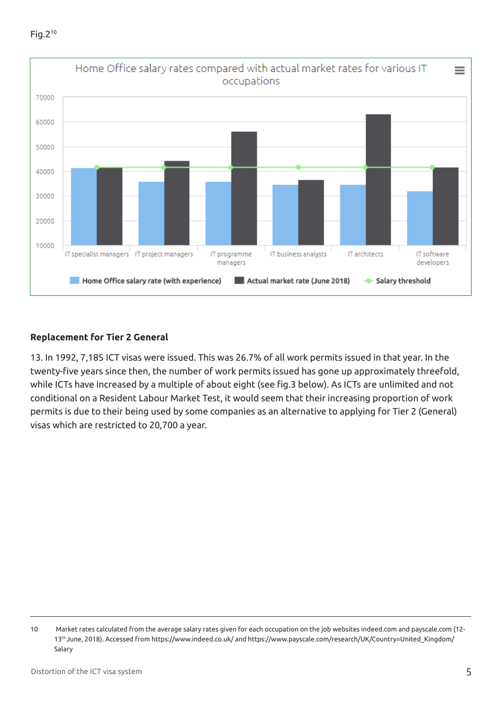

#### **Replacement for Tier 2 General**

13. In 1992, 7,185 ICT visas were issued. This was 26.7% of all work permits issued in that year. In the twenty-five years since then, the number of work permits issued has gone up approximately threefold, while ICTs have increased by a multiple of about eight (see fig.3 below). As ICTs are unlimited and not conditional on a Resident Labour Market Test, it would seem that their increasing proportion of work permits is due to their being used by some companies as an alternative to applying for Tier 2 (General) visas which are restricted to 20,700 a year.

<sup>10</sup> Market rates calculated from the average salary rates given for each occupation on the job websites indeed.com and payscale.com (12- 13th June, 2018). Accessed from https://www.indeed.co.uk/ and https://www.payscale.com/research/UK/Country=United\_Kingdom/ Salary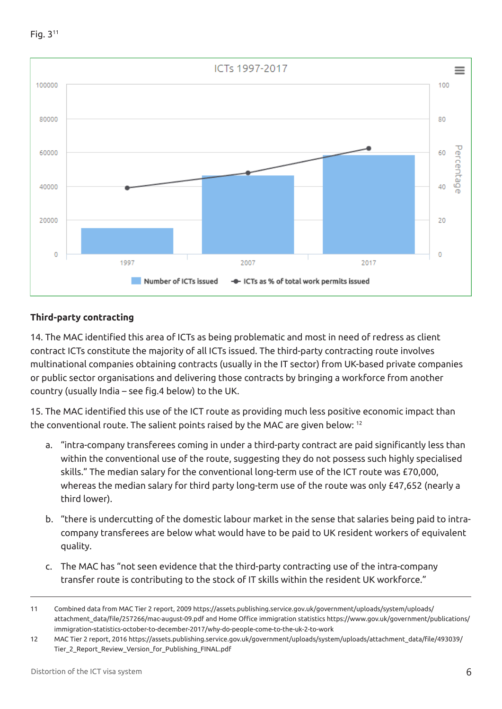



#### **Third-party contracting**

14. The MAC identified this area of ICTs as being problematic and most in need of redress as client contract ICTs constitute the majority of all ICTs issued. The third-party contracting route involves multinational companies obtaining contracts (usually in the IT sector) from UK-based private companies or public sector organisations and delivering those contracts by bringing a workforce from another country (usually India – see fig.4 below) to the UK.

15. The MAC identified this use of the ICT route as providing much less positive economic impact than the conventional route. The salient points raised by the MAC are given below: 12

- a. "intra-company transferees coming in under a third-party contract are paid significantly less than within the conventional use of the route, suggesting they do not possess such highly specialised skills." The median salary for the conventional long-term use of the ICT route was £70,000, whereas the median salary for third party long-term use of the route was only £47,652 (nearly a third lower).
- b. "there is undercutting of the domestic labour market in the sense that salaries being paid to intracompany transferees are below what would have to be paid to UK resident workers of equivalent quality.
- c. The MAC has "not seen evidence that the third-party contracting use of the intra-company transfer route is contributing to the stock of IT skills within the resident UK workforce."

<sup>11</sup> Combined data from MAC Tier 2 report, 2009 https://assets.publishing.service.gov.uk/government/uploads/system/uploads/ attachment\_data/file/257266/mac-august-09.pdf and Home Office immigration statistics https://www.gov.uk/government/publications/ immigration-statistics-october-to-december-2017/why-do-people-come-to-the-uk-2-to-work

<sup>12</sup> MAC Tier 2 report, 2016 https://assets.publishing.service.gov.uk/government/uploads/system/uploads/attachment\_data/file/493039/ Tier\_2\_Report\_Review\_Version\_for\_Publishing\_FINAL.pdf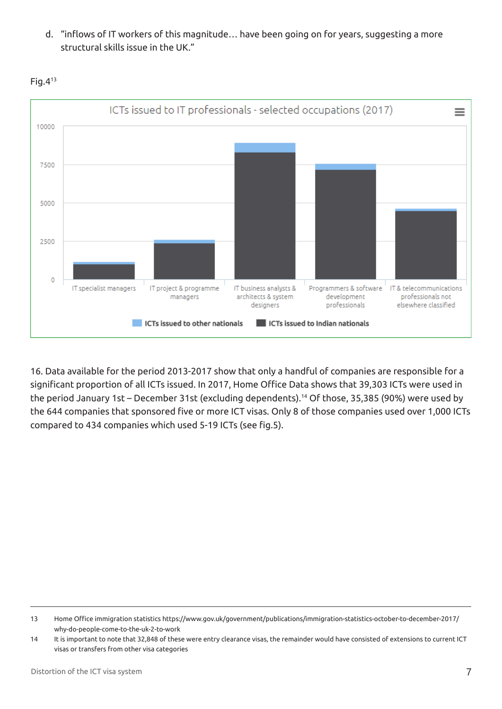d. "inflows of IT workers of this magnitude… have been going on for years, suggesting a more structural skills issue in the UK."



 $Fig.4<sup>13</sup>$ 

16. Data available for the period 2013-2017 show that only a handful of companies are responsible for a significant proportion of all ICTs issued. In 2017, Home Office Data shows that 39,303 ICTs were used in the period January 1st – December 31st (excluding dependents).14 Of those, 35,385 (90%) were used by the 644 companies that sponsored five or more ICT visas. Only 8 of those companies used over 1,000 ICTs compared to 434 companies which used 5-19 ICTs (see fig.5).

<sup>13</sup> Home Office immigration statistics https://www.gov.uk/government/publications/immigration-statistics-october-to-december-2017/ why-do-people-come-to-the-uk-2-to-work

<sup>14</sup> It is important to note that 32,848 of these were entry clearance visas, the remainder would have consisted of extensions to current ICT visas or transfers from other visa categories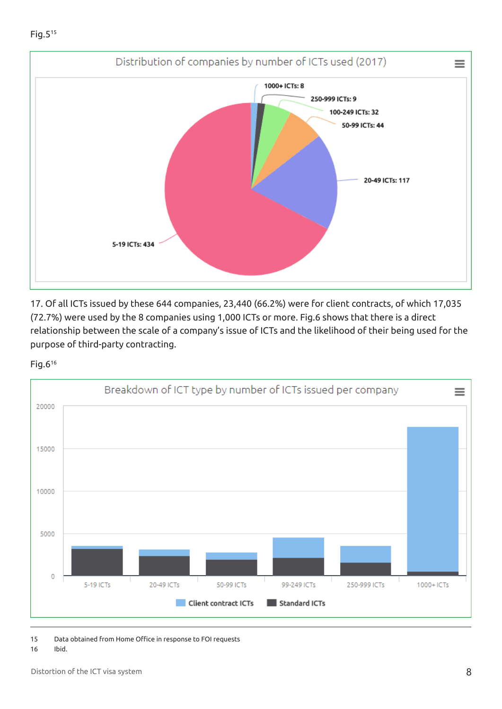

17. Of all ICTs issued by these 644 companies, 23,440 (66.2%) were for client contracts, of which 17,035 (72.7%) were used by the 8 companies using 1,000 ICTs or more. Fig.6 shows that there is a direct relationship between the scale of a company's issue of ICTs and the likelihood of their being used for the purpose of third-party contracting.

#### Fig.616



15 Data obtained from Home Office in response to FOI requests

#### 16 Ibid.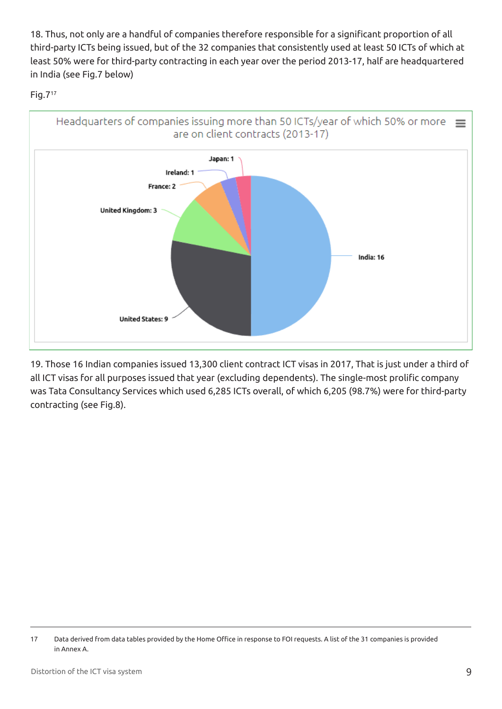18. Thus, not only are a handful of companies therefore responsible for a significant proportion of all third-party ICTs being issued, but of the 32 companies that consistently used at least 50 ICTs of which at least 50% were for third-party contracting in each year over the period 2013-17, half are headquartered in India (see Fig.7 below)

#### Fig.717



19. Those 16 Indian companies issued 13,300 client contract ICT visas in 2017, That is just under a third of all ICT visas for all purposes issued that year (excluding dependents). The single-most prolific company was Tata Consultancy Services which used 6,285 ICTs overall, of which 6,205 (98.7%) were for third-party contracting (see Fig.8).

<sup>17</sup> Data derived from data tables provided by the Home Office in response to FOI requests. A list of the 31 companies is provided in Annex A.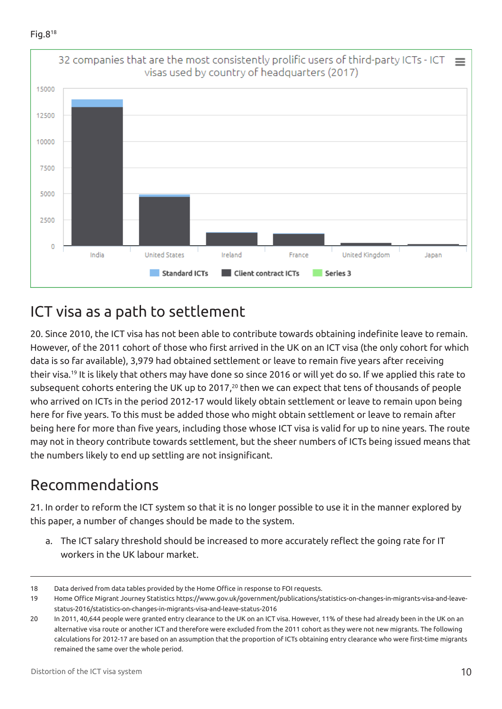$Fig. 8<sup>18</sup>$ 



### ICT visa as a path to settlement

20. Since 2010, the ICT visa has not been able to contribute towards obtaining indefinite leave to remain. However, of the 2011 cohort of those who first arrived in the UK on an ICT visa (the only cohort for which data is so far available), 3,979 had obtained settlement or leave to remain five years after receiving their visa.19 It is likely that others may have done so since 2016 or will yet do so. If we applied this rate to subsequent cohorts entering the UK up to 2017,<sup>20</sup> then we can expect that tens of thousands of people who arrived on ICTs in the period 2012-17 would likely obtain settlement or leave to remain upon being here for five years. To this must be added those who might obtain settlement or leave to remain after being here for more than five years, including those whose ICT visa is valid for up to nine years. The route may not in theory contribute towards settlement, but the sheer numbers of ICTs being issued means that the numbers likely to end up settling are not insignificant.

### Recommendations

21. In order to reform the ICT system so that it is no longer possible to use it in the manner explored by this paper, a number of changes should be made to the system.

a. The ICT salary threshold should be increased to more accurately reflect the going rate for IT workers in the UK labour market.

<sup>18</sup> Data derived from data tables provided by the Home Office in response to FOI requests.

<sup>19</sup> Home Office Migrant Journey Statistics https://www.gov.uk/government/publications/statistics-on-changes-in-migrants-visa-and-leavestatus-2016/statistics-on-changes-in-migrants-visa-and-leave-status-2016

<sup>20</sup> In 2011, 40,644 people were granted entry clearance to the UK on an ICT visa. However, 11% of these had already been in the UK on an alternative visa route or another ICT and therefore were excluded from the 2011 cohort as they were not new migrants. The following calculations for 2012-17 are based on an assumption that the proportion of ICTs obtaining entry clearance who were first-time migrants remained the same over the whole period.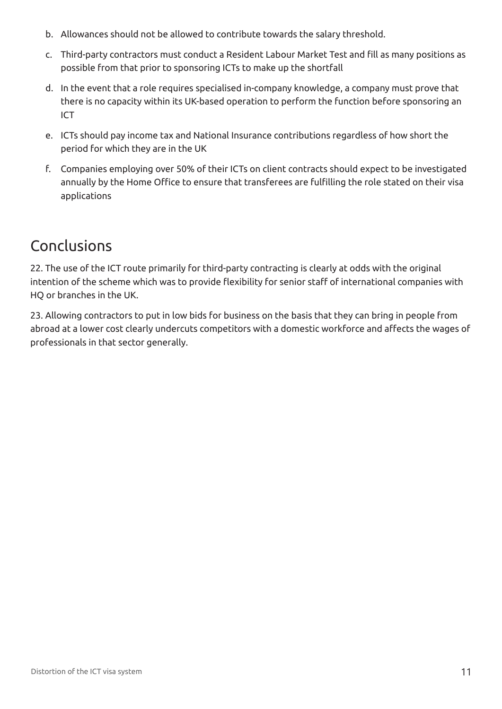- b. Allowances should not be allowed to contribute towards the salary threshold.
- c. Third-party contractors must conduct a Resident Labour Market Test and fill as many positions as possible from that prior to sponsoring ICTs to make up the shortfall
- d. In the event that a role requires specialised in-company knowledge, a company must prove that there is no capacity within its UK-based operation to perform the function before sponsoring an ICT
- e. ICTs should pay income tax and National Insurance contributions regardless of how short the period for which they are in the UK
- f. Companies employing over 50% of their ICTs on client contracts should expect to be investigated annually by the Home Office to ensure that transferees are fulfilling the role stated on their visa applications

### Conclusions

22. The use of the ICT route primarily for third-party contracting is clearly at odds with the original intention of the scheme which was to provide flexibility for senior staff of international companies with HQ or branches in the UK.

23. Allowing contractors to put in low bids for business on the basis that they can bring in people from abroad at a lower cost clearly undercuts competitors with a domestic workforce and affects the wages of professionals in that sector generally.